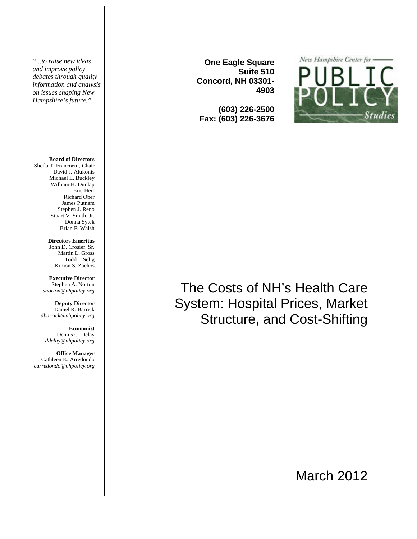*"...to raise new ideas and improve policy debates through quality information and analysis on issues shaping New Hampshire's future."* 

#### **Board of Directors**

Sheila T. Francoeur, Chair David J. Alukonis Michael L. Buckley William H. Dunlap Eric Herr Richard Ober James Putnam Stephen J. Reno Stuart V. Smith, Jr. Donna Sytek Brian F. Walsh

> **Directors Emeritus** John D. Crosier, Sr. Martin L. Gross Todd I. Selig

Kimon S. Zachos

**Executive Director**  Stephen A. Norton *snorton@nhpolicy.org* 

**Deputy Director**  Daniel R. Barrick *dbarrick@nhpolicy.org* 

**Economist**  Dennis C. Delay *ddelay@nhpolicy.org* 

**Office Manager**  Cathleen K. Arredondo *carredondo@nhpolicy.org* 

**One Eagle Square Suite 510 Concord, NH 03301- 4903** 

**(603) 226-2500 Fax: (603) 226-3676**



# The Costs of NH's Health Care System: Hospital Prices, Market Structure, and Cost-Shifting

March 2012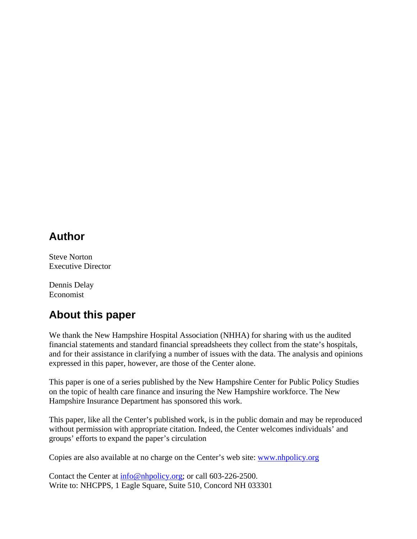## **Author**

Steve Norton Executive Director

Dennis Delay Economist

# **About this paper**

We thank the New Hampshire Hospital Association (NHHA) for sharing with us the audited financial statements and standard financial spreadsheets they collect from the state's hospitals, and for their assistance in clarifying a number of issues with the data. The analysis and opinions expressed in this paper, however, are those of the Center alone.

This paper is one of a series published by the New Hampshire Center for Public Policy Studies on the topic of health care finance and insuring the New Hampshire workforce. The New Hampshire Insurance Department has sponsored this work.

This paper, like all the Center's published work, is in the public domain and may be reproduced without permission with appropriate citation. Indeed, the Center welcomes individuals' and groups' efforts to expand the paper's circulation

Copies are also available at no charge on the Center's web site: www.nhpolicy.org

Contact the Center at  $\frac{info@nhopolicy.org}{info@nhopolicy.org}$ ; or call 603-226-2500. Write to: NHCPPS, 1 Eagle Square, Suite 510, Concord NH 033301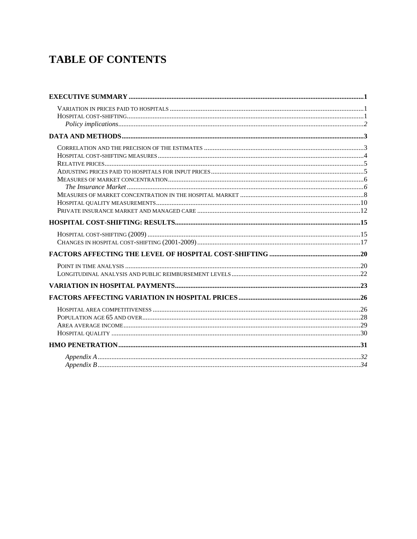# **TABLE OF CONTENTS**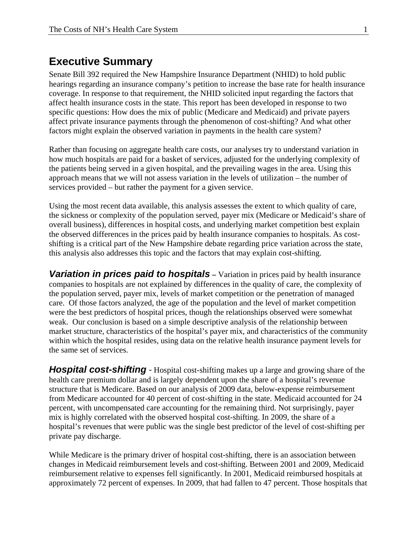## **Executive Summary**

Senate Bill 392 required the New Hampshire Insurance Department (NHID) to hold public hearings regarding an insurance company's petition to increase the base rate for health insurance coverage. In response to that requirement, the NHID solicited input regarding the factors that affect health insurance costs in the state. This report has been developed in response to two specific questions: How does the mix of public (Medicare and Medicaid) and private payers affect private insurance payments through the phenomenon of cost-shifting? And what other factors might explain the observed variation in payments in the health care system?

Rather than focusing on aggregate health care costs, our analyses try to understand variation in how much hospitals are paid for a basket of services, adjusted for the underlying complexity of the patients being served in a given hospital, and the prevailing wages in the area. Using this approach means that we will not assess variation in the levels of utilization – the number of services provided – but rather the payment for a given service.

Using the most recent data available, this analysis assesses the extent to which quality of care, the sickness or complexity of the population served, payer mix (Medicare or Medicaid's share of overall business), differences in hospital costs, and underlying market competition best explain the observed differences in the prices paid by health insurance companies to hospitals. As costshifting is a critical part of the New Hampshire debate regarding price variation across the state, this analysis also addresses this topic and the factors that may explain cost-shifting.

**Variation in prices paid to hospitals** – Variation in prices paid by health insurance companies to hospitals are not explained by differences in the quality of care, the complexity of the population served, payer mix, levels of market competition or the penetration of managed care. Of those factors analyzed, the age of the population and the level of market competition were the best predictors of hospital prices, though the relationships observed were somewhat weak. Our conclusion is based on a simple descriptive analysis of the relationship between market structure, characteristics of the hospital's payer mix, and characteristics of the community within which the hospital resides, using data on the relative health insurance payment levels for the same set of services.

*Hospital cost-shifting* - Hospital cost-shifting makes up a large and growing share of the health care premium dollar and is largely dependent upon the share of a hospital's revenue structure that is Medicare. Based on our analysis of 2009 data, below-expense reimbursement from Medicare accounted for 40 percent of cost-shifting in the state. Medicaid accounted for 24 percent, with uncompensated care accounting for the remaining third. Not surprisingly, payer mix is highly correlated with the observed hospital cost-shifting. In 2009, the share of a hospital's revenues that were public was the single best predictor of the level of cost-shifting per private pay discharge.

While Medicare is the primary driver of hospital cost-shifting, there is an association between changes in Medicaid reimbursement levels and cost-shifting. Between 2001 and 2009, Medicaid reimbursement relative to expenses fell significantly. In 2001, Medicaid reimbursed hospitals at approximately 72 percent of expenses. In 2009, that had fallen to 47 percent. Those hospitals that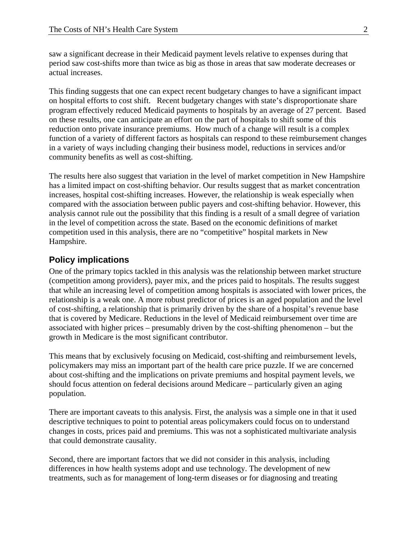saw a significant decrease in their Medicaid payment levels relative to expenses during that period saw cost-shifts more than twice as big as those in areas that saw moderate decreases or actual increases.

This finding suggests that one can expect recent budgetary changes to have a significant impact on hospital efforts to cost shift. Recent budgetary changes with state's disproportionate share program effectively reduced Medicaid payments to hospitals by an average of 27 percent. Based on these results, one can anticipate an effort on the part of hospitals to shift some of this reduction onto private insurance premiums. How much of a change will result is a complex function of a variety of different factors as hospitals can respond to these reimbursement changes in a variety of ways including changing their business model, reductions in services and/or community benefits as well as cost-shifting.

The results here also suggest that variation in the level of market competition in New Hampshire has a limited impact on cost-shifting behavior. Our results suggest that as market concentration increases, hospital cost-shifting increases. However, the relationship is weak especially when compared with the association between public payers and cost-shifting behavior. However, this analysis cannot rule out the possibility that this finding is a result of a small degree of variation in the level of competition across the state. Based on the economic definitions of market competition used in this analysis, there are no "competitive" hospital markets in New Hampshire.

#### **Policy implications**

One of the primary topics tackled in this analysis was the relationship between market structure (competition among providers), payer mix, and the prices paid to hospitals. The results suggest that while an increasing level of competition among hospitals is associated with lower prices, the relationship is a weak one. A more robust predictor of prices is an aged population and the level of cost-shifting, a relationship that is primarily driven by the share of a hospital's revenue base that is covered by Medicare. Reductions in the level of Medicaid reimbursement over time are associated with higher prices – presumably driven by the cost-shifting phenomenon – but the growth in Medicare is the most significant contributor.

This means that by exclusively focusing on Medicaid, cost-shifting and reimbursement levels, policymakers may miss an important part of the health care price puzzle. If we are concerned about cost-shifting and the implications on private premiums and hospital payment levels, we should focus attention on federal decisions around Medicare – particularly given an aging population.

There are important caveats to this analysis. First, the analysis was a simple one in that it used descriptive techniques to point to potential areas policymakers could focus on to understand changes in costs, prices paid and premiums. This was not a sophisticated multivariate analysis that could demonstrate causality.

Second, there are important factors that we did not consider in this analysis, including differences in how health systems adopt and use technology. The development of new treatments, such as for management of long-term diseases or for diagnosing and treating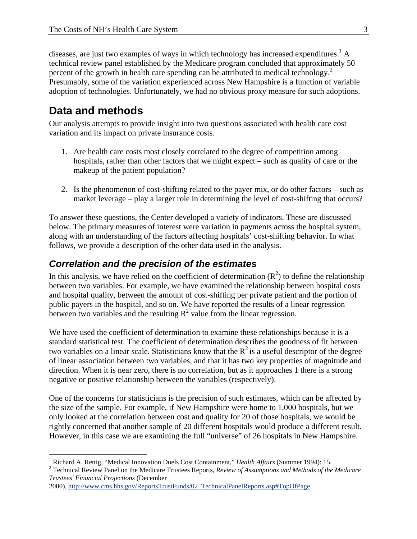diseases, are just two examples of ways in which technology has increased expenditures.<sup>1</sup> A technical review panel established by the Medicare program concluded that approximately 50 percent of the growth in health care spending can be attributed to medical technology.<sup>2</sup> Presumably, some of the variation experienced across New Hampshire is a function of variable adoption of technologies. Unfortunately, we had no obvious proxy measure for such adoptions.

## **Data and methods**

<u>.</u>

Our analysis attempts to provide insight into two questions associated with health care cost variation and its impact on private insurance costs.

- 1. Are health care costs most closely correlated to the degree of competition among hospitals, rather than other factors that we might expect – such as quality of care or the makeup of the patient population?
- 2. Is the phenomenon of cost-shifting related to the payer mix, or do other factors such as market leverage – play a larger role in determining the level of cost-shifting that occurs?

To answer these questions, the Center developed a variety of indicators. These are discussed below. The primary measures of interest were variation in payments across the hospital system, along with an understanding of the factors affecting hospitals' cost-shifting behavior. In what follows, we provide a description of the other data used in the analysis.

### *Correlation and the precision of the estimates*

In this analysis, we have relied on the coefficient of determination  $(R^2)$  to define the relationship between two variables. For example, we have examined the relationship between hospital costs and hospital quality, between the amount of cost-shifting per private patient and the portion of public payers in the hospital, and so on. We have reported the results of a linear regression between two variables and the resulting  $R^2$  value from the linear regression.

We have used the coefficient of determination to examine these relationships because it is a standard statistical test. The coefficient of determination describes the goodness of fit between two variables on a linear scale. Statisticians know that the  $R^2$  is a useful descriptor of the degree of linear association between two variables, and that it has two key properties of magnitude and direction. When it is near zero, there is no correlation, but as it approaches 1 there is a strong negative or positive relationship between the variables (respectively).

One of the concerns for statisticians is the precision of such estimates, which can be affected by the size of the sample. For example, if New Hampshire were home to 1,000 hospitals, but we only looked at the correlation between cost and quality for 20 of those hospitals, we would be rightly concerned that another sample of 20 different hospitals would produce a different result. However, in this case we are examining the full "universe" of 26 hospitals in New Hampshire.

 Technical Review Panel on the Medicare Trustees Reports, *Review of Assumptions and Methods of the Medicare Trustees' Financial Projections* (December

<sup>&</sup>lt;sup>1</sup> Richard A. Rettig, "Medical Innovation Duels Cost Containment," *Health Affairs* (Summer 1994): 15.<br><sup>2</sup> Technical Baxiou: Banel on the Medicare Trustees Banerts, *Baxiou of Agguinations and Methods of the* 

<sup>2000),</sup> http://www.cms.hhs.gov/ReportsTrustFunds/02\_TechnicalPanelReports.asp#TopOfPage.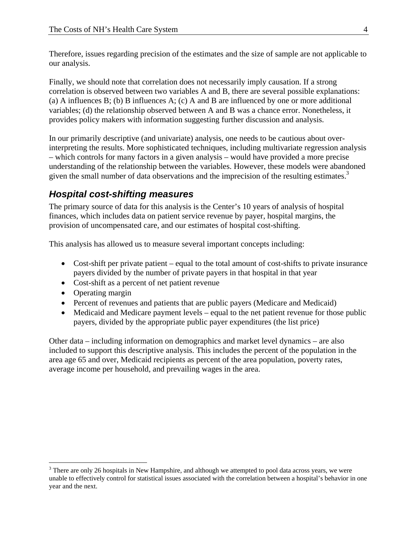Therefore, issues regarding precision of the estimates and the size of sample are not applicable to our analysis.

Finally, we should note that correlation does not necessarily imply causation. If a strong correlation is observed between two variables A and B, there are several possible explanations: (a) A influences B; (b) B influences A; (c) A and B are influenced by one or more additional variables; (d) the relationship observed between A and B was a chance error. Nonetheless, it provides policy makers with information suggesting further discussion and analysis.

In our primarily descriptive (and univariate) analysis, one needs to be cautious about overinterpreting the results. More sophisticated techniques, including multivariate regression analysis – which controls for many factors in a given analysis – would have provided a more precise understanding of the relationship between the variables. However, these models were abandoned given the small number of data observations and the imprecision of the resulting estimates.<sup>3</sup>

## *Hospital cost-shifting measures*

The primary source of data for this analysis is the Center's 10 years of analysis of hospital finances, which includes data on patient service revenue by payer, hospital margins, the provision of uncompensated care, and our estimates of hospital cost-shifting.

This analysis has allowed us to measure several important concepts including:

- Cost-shift per private patient equal to the total amount of cost-shifts to private insurance payers divided by the number of private payers in that hospital in that year
- Cost-shift as a percent of net patient revenue
- Operating margin

 $\overline{a}$ 

- Percent of revenues and patients that are public payers (Medicare and Medicaid)
- Medicaid and Medicare payment levels equal to the net patient revenue for those public payers, divided by the appropriate public payer expenditures (the list price)

Other data – including information on demographics and market level dynamics – are also included to support this descriptive analysis. This includes the percent of the population in the area age 65 and over, Medicaid recipients as percent of the area population, poverty rates, average income per household, and prevailing wages in the area.

 $3$  There are only 26 hospitals in New Hampshire, and although we attempted to pool data across years, we were unable to effectively control for statistical issues associated with the correlation between a hospital's behavior in one year and the next.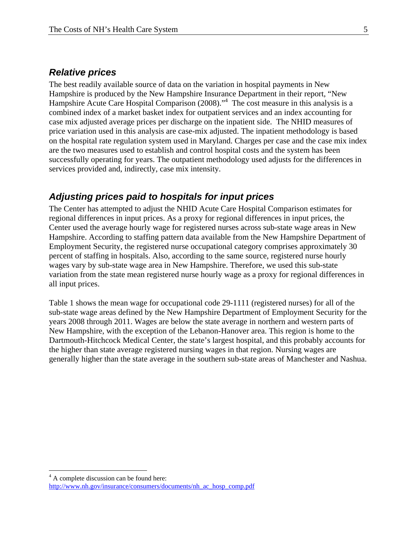### *Relative prices*

The best readily available source of data on the variation in hospital payments in New Hampshire is produced by the New Hampshire Insurance Department in their report, "New Hampshire Acute Care Hospital Comparison (2008)."<sup>4</sup> The cost measure in this analysis is a combined index of a market basket index for outpatient services and an index accounting for case mix adjusted average prices per discharge on the inpatient side. The NHID measures of price variation used in this analysis are case-mix adjusted. The inpatient methodology is based on the hospital rate regulation system used in Maryland. Charges per case and the case mix index are the two measures used to establish and control hospital costs and the system has been successfully operating for years. The outpatient methodology used adjusts for the differences in services provided and, indirectly, case mix intensity.

### *Adjusting prices paid to hospitals for input prices*

The Center has attempted to adjust the NHID Acute Care Hospital Comparison estimates for regional differences in input prices. As a proxy for regional differences in input prices, the Center used the average hourly wage for registered nurses across sub-state wage areas in New Hampshire. According to staffing pattern data available from the New Hampshire Department of Employment Security, the registered nurse occupational category comprises approximately 30 percent of staffing in hospitals. Also, according to the same source, registered nurse hourly wages vary by sub-state wage area in New Hampshire. Therefore, we used this sub-state variation from the state mean registered nurse hourly wage as a proxy for regional differences in all input prices.

Table 1 shows the mean wage for occupational code 29-1111 (registered nurses) for all of the sub-state wage areas defined by the New Hampshire Department of Employment Security for the years 2008 through 2011. Wages are below the state average in northern and western parts of New Hampshire, with the exception of the Lebanon-Hanover area. This region is home to the Dartmouth-Hitchcock Medical Center, the state's largest hospital, and this probably accounts for the higher than state average registered nursing wages in that region. Nursing wages are generally higher than the state average in the southern sub-state areas of Manchester and Nashua.

1

<sup>&</sup>lt;sup>4</sup> A complete discussion can be found here: http://www.nh.gov/insurance/consumers/documents/nh\_ac\_hosp\_comp.pdf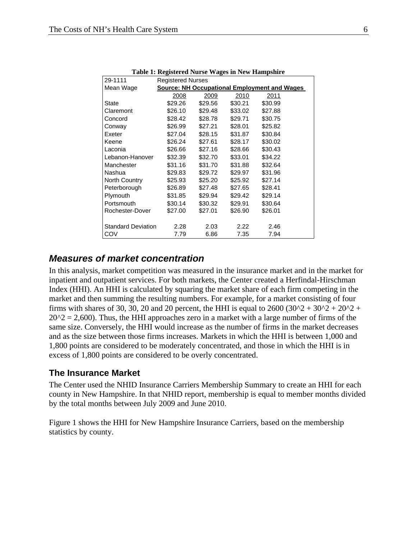| 29-1111                   | <b>Registered Nurses</b> |         |         |                                                     |  |
|---------------------------|--------------------------|---------|---------|-----------------------------------------------------|--|
| Mean Wage                 |                          |         |         | <b>Source: NH Occupational Employment and Wages</b> |  |
|                           | 2008                     | 2009    | 2010    | 2011                                                |  |
| State                     | \$29.26                  | \$29.56 | \$30.21 | \$30.99                                             |  |
| Claremont                 | \$26.10                  | \$29.48 | \$33.02 | \$27.88                                             |  |
| Concord                   | \$28.42                  | \$28.78 | \$29.71 | \$30.75                                             |  |
| Conway                    | \$26.99                  | \$27.21 | \$28.01 | \$25.82                                             |  |
| Exeter                    | \$27.04                  | \$28.15 | \$31.87 | \$30.84                                             |  |
| Keene                     | \$26.24                  | \$27.61 | \$28.17 | \$30.02                                             |  |
| Laconia                   | \$26.66                  | \$27.16 | \$28.66 | \$30.43                                             |  |
| Lebanon-Hanover           | \$32.39                  | \$32.70 | \$33.01 | \$34.22                                             |  |
| Manchester                | \$31.16                  | \$31.70 | \$31.88 | \$32.64                                             |  |
| Nashua                    | \$29.83                  | \$29.72 | \$29.97 | \$31.96                                             |  |
| North Country             | \$25.93                  | \$25.20 | \$25.92 | \$27.14                                             |  |
| Peterborough              | \$26.89                  | \$27.48 | \$27.65 | \$28.41                                             |  |
| Plymouth                  | \$31.85                  | \$29.94 | \$29.42 | \$29.14                                             |  |
| Portsmouth                | \$30.14                  | \$30.32 | \$29.91 | \$30.64                                             |  |
| Rochester-Dover           | \$27.00                  | \$27.01 | \$26.90 | \$26.01                                             |  |
|                           |                          |         |         |                                                     |  |
| <b>Standard Deviation</b> | 2.28                     | 2.03    | 2.22    | 2.46                                                |  |
| COV                       | 7.79                     | 6.86    | 7.35    | 7.94                                                |  |

**Table 1: Registered Nurse Wages in New Hampshire** 

#### *Measures of market concentration*

In this analysis, market competition was measured in the insurance market and in the market for inpatient and outpatient services. For both markets, the Center created a Herfindal-Hirschman Index (HHI). An HHI is calculated by squaring the market share of each firm competing in the market and then summing the resulting numbers. For example, for a market consisting of four firms with shares of 30, 30, 20 and 20 percent, the HHI is equal to  $2600 (30^2 + 30^2 + 20^2 + 1)$  $20^2 = 2,600$ . Thus, the HHI approaches zero in a market with a large number of firms of the same size. Conversely, the HHI would increase as the number of firms in the market decreases and as the size between those firms increases. Markets in which the HHI is between 1,000 and 1,800 points are considered to be moderately concentrated, and those in which the HHI is in excess of 1,800 points are considered to be overly concentrated.

#### **The Insurance Market**

The Center used the NHID Insurance Carriers Membership Summary to create an HHI for each county in New Hampshire. In that NHID report, membership is equal to member months divided by the total months between July 2009 and June 2010.

Figure 1 shows the HHI for New Hampshire Insurance Carriers, based on the membership statistics by county.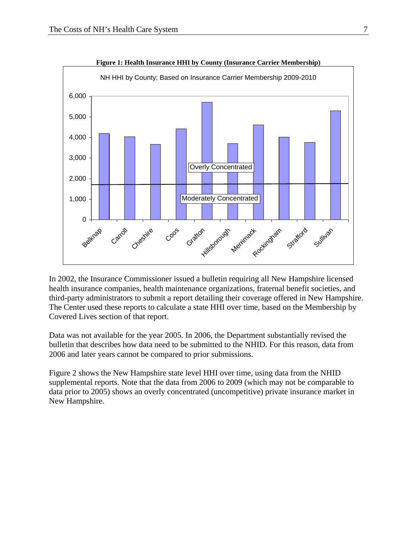

In 2002, the Insurance Commissioner issued a bulletin requiring all New Hampshire licensed health insurance companies, health maintenance organizations, fraternal benefit societies, and third-party administrators to submit a report detailing their coverage offered in New Hampshire. The Center used these reports to calculate a state HHI over time, based on the Membership by Covered Lives section of that report.

Data was not available for the year 2005. In 2006, the Department substantially revised the bulletin that describes how data need to be submitted to the NHID. For this reason, data from 2006 and later years cannot be compared to prior submissions.

Figure 2 shows the New Hampshire state level HHI over time, using data from the NHID supplemental reports. Note that the data from 2006 to 2009 (which may not be comparable to data prior to 2005) shows an overly concentrated (uncompetitive) private insurance market in New Hampshire.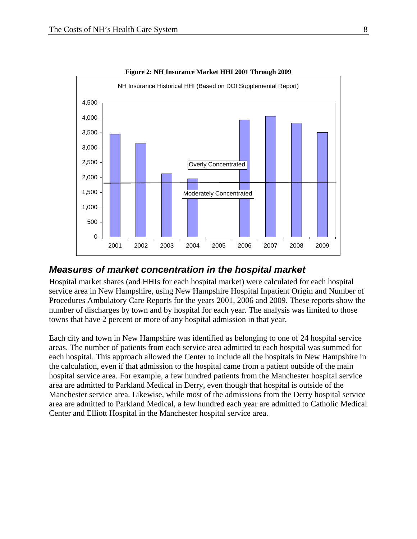

**Figure 2: NH Insurance Market HHI 2001 Through 2009** 

#### *Measures of market concentration in the hospital market*

Hospital market shares (and HHIs for each hospital market) were calculated for each hospital service area in New Hampshire, using New Hampshire Hospital Inpatient Origin and Number of Procedures Ambulatory Care Reports for the years 2001, 2006 and 2009. These reports show the number of discharges by town and by hospital for each year. The analysis was limited to those towns that have 2 percent or more of any hospital admission in that year.

Each city and town in New Hampshire was identified as belonging to one of 24 hospital service areas. The number of patients from each service area admitted to each hospital was summed for each hospital. This approach allowed the Center to include all the hospitals in New Hampshire in the calculation, even if that admission to the hospital came from a patient outside of the main hospital service area. For example, a few hundred patients from the Manchester hospital service area are admitted to Parkland Medical in Derry, even though that hospital is outside of the Manchester service area. Likewise, while most of the admissions from the Derry hospital service area are admitted to Parkland Medical, a few hundred each year are admitted to Catholic Medical Center and Elliott Hospital in the Manchester hospital service area.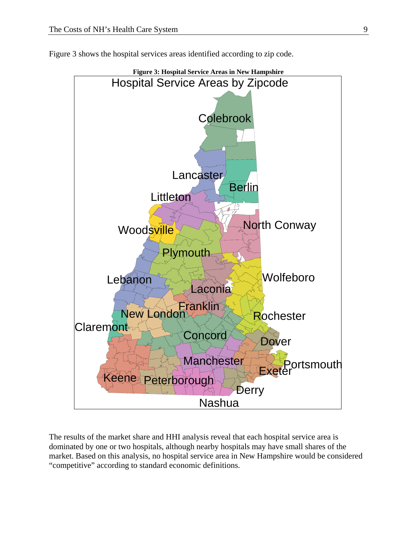



The results of the market share and HHI analysis reveal that each hospital service area is dominated by one or two hospitals, although nearby hospitals may have small shares of the market. Based on this analysis, no hospital service area in New Hampshire would be considered "competitive" according to standard economic definitions.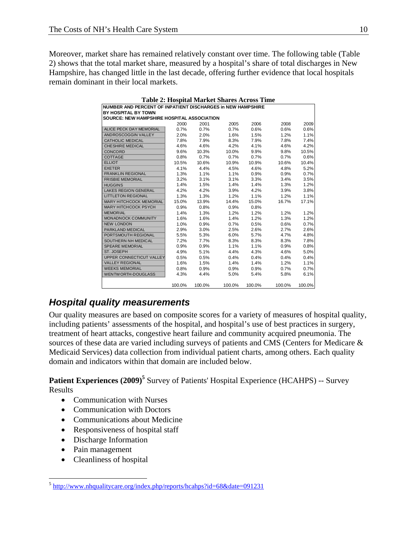Moreover, market share has remained relatively constant over time. The following table (Table 2) shows that the total market share, measured by a hospital's share of total discharges in New Hampshire, has changed little in the last decade, offering further evidence that local hospitals remain dominant in their local markets.

| <b>Table 2: Hospital Market Shares Across Time</b> |                                                             |        |        |        |        |        |  |  |
|----------------------------------------------------|-------------------------------------------------------------|--------|--------|--------|--------|--------|--|--|
|                                                    | NUMBER AND PERCENT OF INPATIENT DISCHARGES in NEW HAMPSHIRE |        |        |        |        |        |  |  |
| BY HOSPITAL BY TOWN                                |                                                             |        |        |        |        |        |  |  |
|                                                    | <b>SOURCE: NEW HAMPSHIRE HOSPITAL ASSOCIATION</b>           |        |        |        |        |        |  |  |
|                                                    | 2000                                                        | 2001   | 2005   | 2006   | 2008   | 2009   |  |  |
| ALICE PECK DAY MEMORIAL                            | 0.7%                                                        | 0.7%   | 0.7%   | 0.6%   | 0.6%   | 0.6%   |  |  |
| ANDROSCOGGIN VALLEY                                | 2.0%                                                        | 2.0%   | 1.6%   | 1.5%   | 1.2%   | 1.1%   |  |  |
| <b>CATHOLIC MEDICAL</b>                            | 7.8%                                                        | 7.9%   | 8.3%   | 7.9%   | 7.8%   | 7.4%   |  |  |
| <b>CHESHIRE MEDICAL</b>                            | 4.6%                                                        | 4.6%   | 4.2%   | 4.1%   | 4.6%   | 4.2%   |  |  |
| <b>CONCORD</b>                                     | 9.6%                                                        | 10.3%  | 10.0%  | 9.9%   | 9.8%   | 10.5%  |  |  |
| COTTAGE                                            | 0.8%                                                        | 0.7%   | 0.7%   | 0.7%   | 0.7%   | 0.6%   |  |  |
| <b>ELLIOT</b>                                      | 10.5%                                                       | 10.6%  | 10.9%  | 10.9%  | 10.6%  | 10.4%  |  |  |
| <b>EXETER</b>                                      | 4.1%                                                        | 4.4%   | 4.5%   | 4.6%   | 4.8%   | 5.2%   |  |  |
| <b>FRANKLIN REGIONAL</b>                           | 1.3%                                                        | 1.1%   | 1.1%   | 0.9%   | 0.9%   | 0.7%   |  |  |
| <b>FRISBIE MEMORIAL</b>                            | 3.2%                                                        | 3.1%   | 3.1%   | 3.3%   | 3.4%   | 3.5%   |  |  |
| <b>HUGGINS</b>                                     | 1.4%                                                        | 1.5%   | 1.4%   | 1.4%   | 1.3%   | 1.2%   |  |  |
| <b>LAKES REGION GENERAL</b>                        | 4.2%                                                        | 4.2%   | 3.9%   | 4.2%   | 3.9%   | 3.8%   |  |  |
| <b>LITTLETON REGIONAL</b>                          | 1.3%                                                        | 1.3%   | 1.2%   | 1.1%   | 1.2%   | 1.1%   |  |  |
| <b>MARY HITCHCOCK MEMORIAL</b>                     | 15.0%                                                       | 13.9%  | 14.4%  | 15.0%  | 16.7%  | 17.1%  |  |  |
| MARY HITCHCOCK PSYCH                               | 0.9%                                                        | 0.8%   | 0.9%   | 0.8%   |        |        |  |  |
| <b>MEMORIAL</b>                                    | 1.4%                                                        | 1.3%   | 1.2%   | 1.2%   | 1.2%   | 1.2%   |  |  |
| MONADNOCK COMMUNITY                                | 1.6%                                                        | 1.6%   | 1.4%   | 1.2%   | 1.3%   | 1.2%   |  |  |
| <b>NEW LONDON</b>                                  | 1.0%                                                        | 0.9%   | 0.7%   | 0.5%   | 0.6%   | 0.7%   |  |  |
| <b>PARKLAND MEDICAL</b>                            | 2.9%                                                        | 3.0%   | 2.5%   | 2.6%   | 2.7%   | 2.6%   |  |  |
| PORTSMOUTH REGIONAL                                | 5.5%                                                        | 5.3%   | 6.0%   | 5.7%   | 4.7%   | 4.8%   |  |  |
| SOUTHERN NH MEDICAL                                | 7.2%                                                        | 7.7%   | 8.3%   | 8.3%   | 8.3%   | 7.8%   |  |  |
| <b>SPEARE MEMORIAL</b>                             | 0.9%                                                        | 0.9%   | 1.1%   | 1.1%   | 0.9%   | 0.8%   |  |  |
| ST. JOSEPH                                         | 4.9%                                                        | 5.1%   | 4.4%   | 4.3%   | 4.6%   | 5.0%   |  |  |
| UPPER CONNECTICUT VALLEY                           | 0.5%                                                        | 0.5%   | 0.4%   | 0.4%   | 0.4%   | 0.4%   |  |  |
| <b>VALLEY REGIONAL</b>                             | 1.6%                                                        | 1.5%   | 1.4%   | 1.4%   | 1.2%   | 1.1%   |  |  |
| <b>WEEKS MEMORIAL</b>                              | 0.8%                                                        | 0.9%   | 0.9%   | 0.9%   | 0.7%   | 0.7%   |  |  |
| <b>WENTWORTH-DOUGLASS</b>                          | 4.3%                                                        | 4.4%   | 5.0%   | 5.4%   | 5.8%   | 6.1%   |  |  |
|                                                    | 100.0%                                                      | 100.0% | 100.0% | 100.0% | 100.0% | 100.0% |  |  |

## *Hospital quality measurements*

Our quality measures are based on composite scores for a variety of measures of hospital quality, including patients' assessments of the hospital, and hospital's use of best practices in surgery, treatment of heart attacks, congestive heart failure and community acquired pneumonia. The sources of these data are varied including surveys of patients and CMS (Centers for Medicare & Medicaid Services) data collection from individual patient charts, among others. Each quality domain and indicators within that domain are included below.

**Patient Experiences (2009)<sup>5</sup>** Survey of Patients' Hospital Experience (HCAHPS) -- Survey Results

- Communication with Nurses
- Communication with Doctors
- Communications about Medicine
- Responsiveness of hospital staff
- Discharge Information
- Pain management

<u>.</u>

• Cleanliness of hospital

<sup>5</sup> http://www.nhqualitycare.org/index.php/reports/hcahps?id=68&date=091231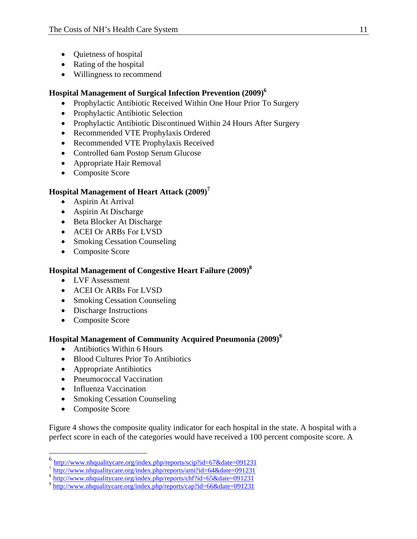- Quietness of hospital
- Rating of the hospital
- Willingness to recommend

#### **Hospital Management of Surgical Infection Prevention (2009)6**

- Prophylactic Antibiotic Received Within One Hour Prior To Surgery
- Prophylactic Antibiotic Selection
- Prophylactic Antibiotic Discontinued Within 24 Hours After Surgery
- Recommended VTE Prophylaxis Ordered
- Recommended VTE Prophylaxis Received
- Controlled 6am Postop Serum Glucose
- Appropriate Hair Removal
- Composite Score

### **Hospital Management of Heart Attack (2009)<sup>7</sup>**

- Aspirin At Arrival
- Aspirin At Discharge
- Beta Blocker At Discharge
- ACEI Or ARBs For LVSD
- Smoking Cessation Counseling
- Composite Score

#### **Hospital Management of Congestive Heart Failure (2009)8**

- LVF Assessment
- ACEI Or ARBs For LVSD
- Smoking Cessation Counseling
- Discharge Instructions
- Composite Score

#### **Hospital Management of Community Acquired Pneumonia (2009)<sup>9</sup>**

- Antibiotics Within 6 Hours
- Blood Cultures Prior To Antibiotics
- Appropriate Antibiotics
- Pneumococcal Vaccination
- Influenza Vaccination
- Smoking Cessation Counseling
- Composite Score

 $\overline{a}$ 

Figure 4 shows the composite quality indicator for each hospital in the state. A hospital with a perfect score in each of the categories would have received a 100 percent composite score. A

<sup>6</sup> http://www.nhqualitycare.org/index.php/reports/scip?id=67&date=091231

 $\frac{7}{8}$  http://www.nhqualitycare.org/index.php/reports/ami?id=64&date=091231<br>  $\frac{8}{9}$  http://www.nhqualitycare.org/index.php/reports/chf?id=65&date=091231<br>  $\frac{1}{9}$  http://www.nhqualitycare.org/index.php/reports/cap?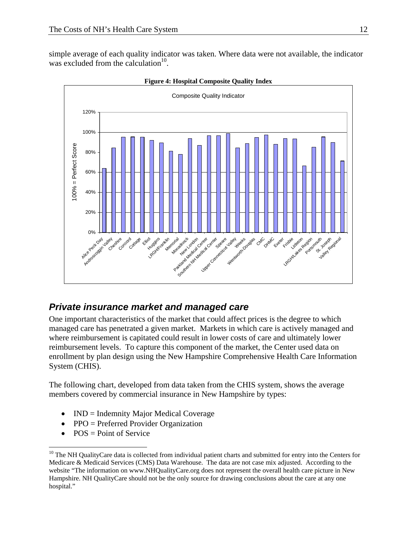simple average of each quality indicator was taken. Where data were not available, the indicator was excluded from the calculation<sup>10</sup>.



**Figure 4: Hospital Composite Quality Index** 

## *Private insurance market and managed care*

One important characteristics of the market that could affect prices is the degree to which managed care has penetrated a given market. Markets in which care is actively managed and where reimbursement is capitated could result in lower costs of care and ultimately lower reimbursement levels. To capture this component of the market, the Center used data on enrollment by plan design using the New Hampshire Comprehensive Health Care Information System (CHIS).

The following chart, developed from data taken from the CHIS system, shows the average members covered by commercial insurance in New Hampshire by types:

- IND = Indemnity Major Medical Coverage
- PPO = Preferred Provider Organization
- $\bullet$  POS = Point of Service

 $\overline{a}$ 

<sup>&</sup>lt;sup>10</sup> The NH QualityCare data is collected from individual patient charts and submitted for entry into the Centers for Medicare & Medicaid Services (CMS) Data Warehouse. The data are not case mix adjusted. According to the website "The information on www.NHQualityCare.org does not represent the overall health care picture in New Hampshire. NH QualityCare should not be the only source for drawing conclusions about the care at any one hospital."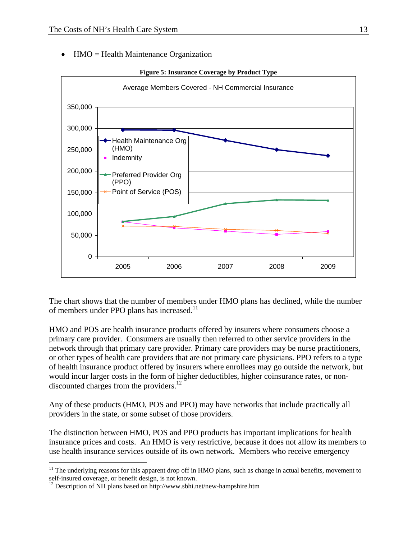HMO = Health Maintenance Organization



The chart shows that the number of members under HMO plans has declined, while the number of members under PPO plans has increased.<sup>11</sup>

HMO and POS are health insurance products offered by insurers where consumers choose a primary care provider. Consumers are usually then referred to other service providers in the network through that primary care provider. Primary care providers may be nurse practitioners, or other types of health care providers that are not primary care physicians. PPO refers to a type of health insurance product offered by insurers where enrollees may go outside the network, but would incur larger costs in the form of higher deductibles, higher coinsurance rates, or nondiscounted charges from the providers.<sup>12</sup>

Any of these products (HMO, POS and PPO) may have networks that include practically all providers in the state, or some subset of those providers.

The distinction between HMO, POS and PPO products has important implications for health insurance prices and costs. An HMO is very restrictive, because it does not allow its members to use health insurance services outside of its own network. Members who receive emergency

 $\overline{a}$ 

 $11$  The underlying reasons for this apparent drop off in HMO plans, such as change in actual benefits, movement to self-insured coverage, or benefit design, is not known.

 $12$  Description of NH plans based on http://www.sbhi.net/new-hampshire.htm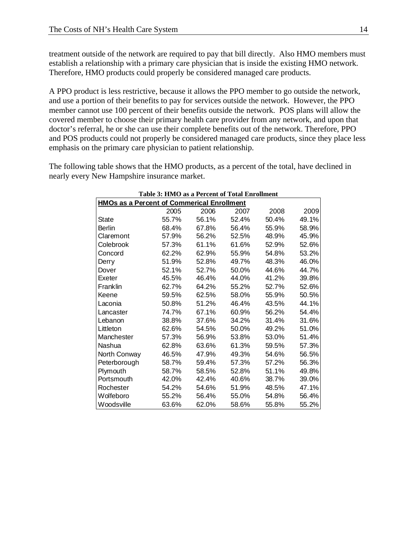treatment outside of the network are required to pay that bill directly. Also HMO members must establish a relationship with a primary care physician that is inside the existing HMO network. Therefore, HMO products could properly be considered managed care products.

A PPO product is less restrictive, because it allows the PPO member to go outside the network, and use a portion of their benefits to pay for services outside the network. However, the PPO member cannot use 100 percent of their benefits outside the network. POS plans will allow the covered member to choose their primary health care provider from any network, and upon that doctor's referral, he or she can use their complete benefits out of the network. Therefore, PPO and POS products could not properly be considered managed care products, since they place less emphasis on the primary care physician to patient relationship.

The following table shows that the HMO products, as a percent of the total, have declined in nearly every New Hampshire insurance market.

| Table 3: HMO as a Percent of Total Enrollment     |       |       |       |       |       |  |  |
|---------------------------------------------------|-------|-------|-------|-------|-------|--|--|
| <b>HMOs as a Percent of Commerical Enrollment</b> |       |       |       |       |       |  |  |
|                                                   | 2005  | 2006  | 2007  | 2008  | 2009  |  |  |
| State                                             | 55.7% | 56.1% | 52.4% | 50.4% | 49.1% |  |  |
| Berlin                                            | 68.4% | 67.8% | 56.4% | 55.9% | 58.9% |  |  |
| Claremont                                         | 57.9% | 56.2% | 52.5% | 48.9% | 45.9% |  |  |
| Colebrook                                         | 57.3% | 61.1% | 61.6% | 52.9% | 52.6% |  |  |
| Concord                                           | 62.2% | 62.9% | 55.9% | 54.8% | 53.2% |  |  |
| Derry                                             | 51.9% | 52.8% | 49.7% | 48.3% | 46.0% |  |  |
| Dover                                             | 52.1% | 52.7% | 50.0% | 44.6% | 44.7% |  |  |
| Exeter                                            | 45.5% | 46.4% | 44.0% | 41.2% | 39.8% |  |  |
| Franklin                                          | 62.7% | 64.2% | 55.2% | 52.7% | 52.6% |  |  |
| Keene                                             | 59.5% | 62.5% | 58.0% | 55.9% | 50.5% |  |  |
| Laconia                                           | 50.8% | 51.2% | 46.4% | 43.5% | 44.1% |  |  |
| Lancaster                                         | 74.7% | 67.1% | 60.9% | 56.2% | 54.4% |  |  |
| Lebanon                                           | 38.8% | 37.6% | 34.2% | 31.4% | 31.6% |  |  |
| Littleton                                         | 62.6% | 54.5% | 50.0% | 49.2% | 51.0% |  |  |
| Manchester                                        | 57.3% | 56.9% | 53.8% | 53.0% | 51.4% |  |  |
| Nashua                                            | 62.8% | 63.6% | 61.3% | 59.5% | 57.3% |  |  |
| North Conway                                      | 46.5% | 47.9% | 49.3% | 54.6% | 56.5% |  |  |
| Peterborough                                      | 58.7% | 59.4% | 57.3% | 57.2% | 56.3% |  |  |
| Plymouth                                          | 58.7% | 58.5% | 52.8% | 51.1% | 49.8% |  |  |
| Portsmouth                                        | 42.0% | 42.4% | 40.6% | 38.7% | 39.0% |  |  |
| Rochester                                         | 54.2% | 54.6% | 51.9% | 48.5% | 47.1% |  |  |
| Wolfeboro                                         | 55.2% | 56.4% | 55.0% | 54.8% | 56.4% |  |  |
| Woodsville                                        | 63.6% | 62.0% | 58.6% | 55.8% | 55.2% |  |  |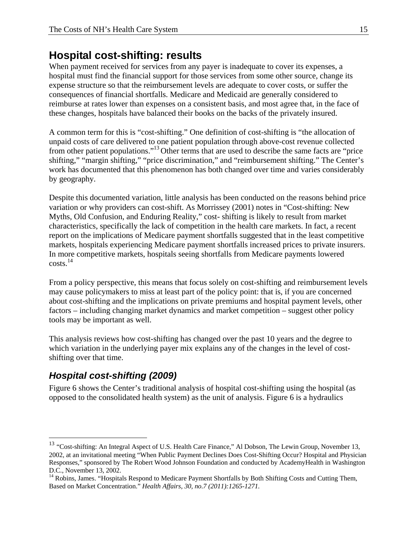## **Hospital cost-shifting: results**

When payment received for services from any payer is inadequate to cover its expenses, a hospital must find the financial support for those services from some other source, change its expense structure so that the reimbursement levels are adequate to cover costs, or suffer the consequences of financial shortfalls. Medicare and Medicaid are generally considered to reimburse at rates lower than expenses on a consistent basis, and most agree that, in the face of these changes, hospitals have balanced their books on the backs of the privately insured.

A common term for this is "cost-shifting." One definition of cost-shifting is "the allocation of unpaid costs of care delivered to one patient population through above-cost revenue collected from other patient populations."13 Other terms that are used to describe the same facts are "price shifting," "margin shifting," "price discrimination," and "reimbursement shifting." The Center's work has documented that this phenomenon has both changed over time and varies considerably by geography.

Despite this documented variation, little analysis has been conducted on the reasons behind price variation or why providers can cost-shift. As Morrissey (2001) notes in "Cost-shifting: New Myths, Old Confusion, and Enduring Reality," cost- shifting is likely to result from market characteristics, specifically the lack of competition in the health care markets. In fact, a recent report on the implications of Medicare payment shortfalls suggested that in the least competitive markets, hospitals experiencing Medicare payment shortfalls increased prices to private insurers. In more competitive markets, hospitals seeing shortfalls from Medicare payments lowered costs.14

From a policy perspective, this means that focus solely on cost-shifting and reimbursement levels may cause policymakers to miss at least part of the policy point: that is, if you are concerned about cost-shifting and the implications on private premiums and hospital payment levels, other factors – including changing market dynamics and market competition – suggest other policy tools may be important as well.

This analysis reviews how cost-shifting has changed over the past 10 years and the degree to which variation in the underlying payer mix explains any of the changes in the level of costshifting over that time.

## *Hospital cost-shifting (2009)*

 $\overline{a}$ 

Figure 6 shows the Center's traditional analysis of hospital cost-shifting using the hospital (as opposed to the consolidated health system) as the unit of analysis. Figure 6 is a hydraulics

<sup>&</sup>lt;sup>13</sup> "Cost-shifting: An Integral Aspect of U.S. Health Care Finance," Al Dobson, The Lewin Group, November 13, 2002, at an invitational meeting "When Public Payment Declines Does Cost-Shifting Occur? Hospital and Physician Responses," sponsored by The Robert Wood Johnson Foundation and conducted by AcademyHealth in Washington D.C., November 13, 2002.

<sup>&</sup>lt;sup>14</sup> Robins, James. "Hospitals Respond to Medicare Payment Shortfalls by Both Shifting Costs and Cutting Them, Based on Market Concentration." *Health Affairs, 30, no.7 (2011):1265-1271.*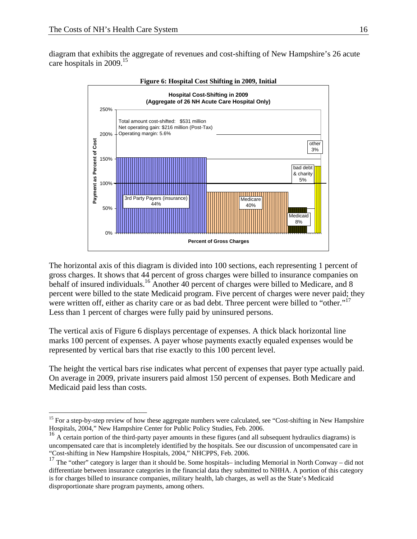$\overline{a}$ 

diagram that exhibits the aggregate of revenues and cost-shifting of New Hampshire's 26 acute care hospitals in 2009.<sup>15</sup>



The horizontal axis of this diagram is divided into 100 sections, each representing 1 percent of gross charges. It shows that 44 percent of gross charges were billed to insurance companies on behalf of insured individuals.<sup>16</sup> Another 40 percent of charges were billed to Medicare, and 8 percent were billed to the state Medicaid program. Five percent of charges were never paid; they were written off, either as charity care or as bad debt. Three percent were billed to "other."<sup>17</sup> Less than 1 percent of charges were fully paid by uninsured persons.

The vertical axis of Figure 6 displays percentage of expenses. A thick black horizontal line marks 100 percent of expenses. A payer whose payments exactly equaled expenses would be represented by vertical bars that rise exactly to this 100 percent level.

The height the vertical bars rise indicates what percent of expenses that payer type actually paid. On average in 2009, private insurers paid almost 150 percent of expenses. Both Medicare and Medicaid paid less than costs.

<sup>&</sup>lt;sup>15</sup> For a step-by-step review of how these aggregate numbers were calculated, see "Cost-shifting in New Hampshire Hospitals,  $2004$ ," New Hampshire Center for Public Policy Studies, Feb. 2006.

 $^{16}$  A certain portion of the third-party payer amounts in these figures (and all subsequent hydraulics diagrams) is uncompensated care that is incompletely identified by the hospitals. See our discussion of uncompensated care in "Cost-shifting in New Hampshire Hospitals, 2004," NHCPPS, Feb. 2006.

<sup>&</sup>lt;sup>17</sup> The "other" category is larger than it should be. Some hospitals– including Memorial in North Conway – did not differentiate between insurance categories in the financial data they submitted to NHHA. A portion of this category is for charges billed to insurance companies, military health, lab charges, as well as the State's Medicaid disproportionate share program payments, among others.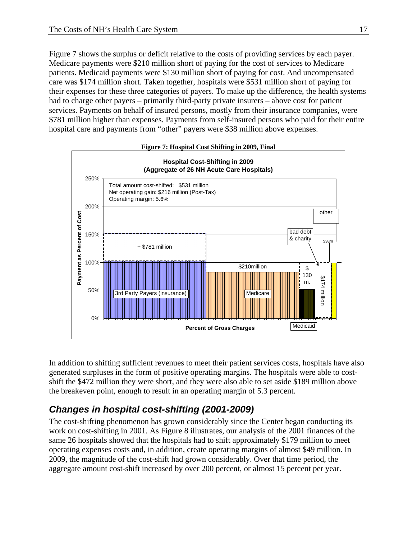Figure 7 shows the surplus or deficit relative to the costs of providing services by each payer. Medicare payments were \$210 million short of paying for the cost of services to Medicare patients. Medicaid payments were \$130 million short of paying for cost. And uncompensated care was \$174 million short. Taken together, hospitals were \$531 million short of paying for their expenses for these three categories of payers. To make up the difference, the health systems had to charge other payers – primarily third-party private insurers – above cost for patient services. Payments on behalf of insured persons, mostly from their insurance companies, were \$781 million higher than expenses. Payments from self-insured persons who paid for their entire hospital care and payments from "other" payers were \$38 million above expenses.



In addition to shifting sufficient revenues to meet their patient services costs, hospitals have also generated surpluses in the form of positive operating margins. The hospitals were able to costshift the \$472 million they were short, and they were also able to set aside \$189 million above the breakeven point, enough to result in an operating margin of 5.3 percent.

## *Changes in hospital cost-shifting (2001-2009)*

The cost-shifting phenomenon has grown considerably since the Center began conducting its work on cost-shifting in 2001. As Figure 8 illustrates, our analysis of the 2001 finances of the same 26 hospitals showed that the hospitals had to shift approximately \$179 million to meet operating expenses costs and, in addition, create operating margins of almost \$49 million. In 2009, the magnitude of the cost-shift had grown considerably. Over that time period, the aggregate amount cost-shift increased by over 200 percent, or almost 15 percent per year.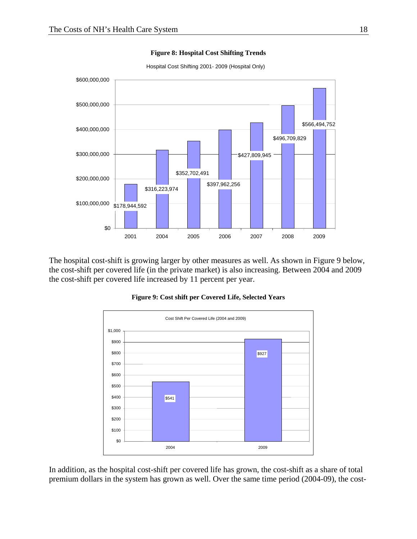

**Figure 8: Hospital Cost Shifting Trends** 

Hospital Cost Shifting 2001- 2009 (Hospital Only)

The hospital cost-shift is growing larger by other measures as well. As shown in Figure 9 below, the cost-shift per covered life (in the private market) is also increasing. Between 2004 and 2009 the cost-shift per covered life increased by 11 percent per year.



**Figure 9: Cost shift per Covered Life, Selected Years** 

In addition, as the hospital cost-shift per covered life has grown, the cost-shift as a share of total premium dollars in the system has grown as well. Over the same time period (2004-09), the cost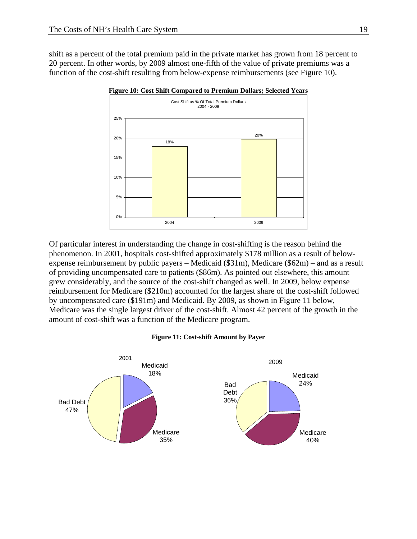shift as a percent of the total premium paid in the private market has grown from 18 percent to 20 percent. In other words, by 2009 almost one-fifth of the value of private premiums was a function of the cost-shift resulting from below-expense reimbursements (see Figure 10).



**Figure 10: Cost Shift Compared to Premium Dollars; Selected Years** 

Of particular interest in understanding the change in cost-shifting is the reason behind the phenomenon. In 2001, hospitals cost-shifted approximately \$178 million as a result of belowexpense reimbursement by public payers – Medicaid (\$31m), Medicare (\$62m) – and as a result of providing uncompensated care to patients (\$86m). As pointed out elsewhere, this amount grew considerably, and the source of the cost-shift changed as well. In 2009, below expense reimbursement for Medicare (\$210m) accounted for the largest share of the cost-shift followed by uncompensated care (\$191m) and Medicaid. By 2009, as shown in Figure 11 below, Medicare was the single largest driver of the cost-shift. Almost 42 percent of the growth in the amount of cost-shift was a function of the Medicare program.

#### **Figure 11: Cost-shift Amount by Payer**

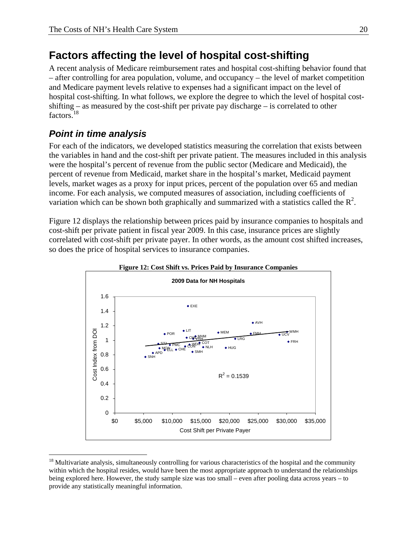## **Factors affecting the level of hospital cost-shifting**

A recent analysis of Medicare reimbursement rates and hospital cost-shifting behavior found that – after controlling for area population, volume, and occupancy – the level of market competition and Medicare payment levels relative to expenses had a significant impact on the level of hospital cost-shifting. In what follows, we explore the degree to which the level of hospital costshifting – as measured by the cost-shift per private pay discharge – is correlated to other factors.<sup>18</sup>

## *Point in time analysis*

<u>.</u>

For each of the indicators, we developed statistics measuring the correlation that exists between the variables in hand and the cost-shift per private patient. The measures included in this analysis were the hospital's percent of revenue from the public sector (Medicare and Medicaid), the percent of revenue from Medicaid, market share in the hospital's market, Medicaid payment levels, market wages as a proxy for input prices, percent of the population over 65 and median income. For each analysis, we computed measures of association, including coefficients of variation which can be shown both graphically and summarized with a statistics called the  $\mathbb{R}^2$ .

Figure 12 displays the relationship between prices paid by insurance companies to hospitals and cost-shift per private patient in fiscal year 2009. In this case, insurance prices are slightly correlated with cost-shift per private payer. In other words, as the amount cost shifted increases, so does the price of hospital services to insurance companies.





<sup>&</sup>lt;sup>18</sup> Multivariate analysis, simultaneously controlling for various characteristics of the hospital and the community within which the hospital resides, would have been the most appropriate approach to understand the relationships being explored here. However, the study sample size was too small – even after pooling data across years – to provide any statistically meaningful information.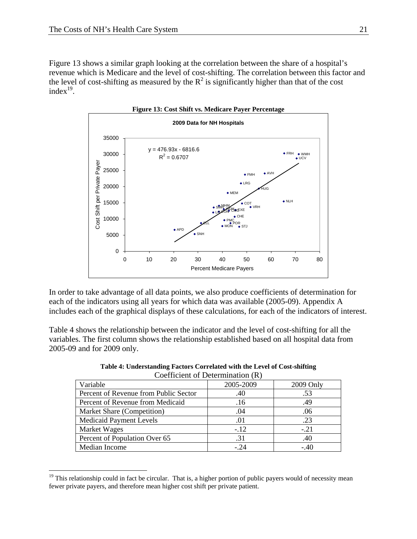$\overline{a}$ 

Figure 13 shows a similar graph looking at the correlation between the share of a hospital's revenue which is Medicare and the level of cost-shifting. The correlation between this factor and the level of cost-shifting as measured by the  $R^2$  is significantly higher than that of the cost index $19$ .



In order to take advantage of all data points, we also produce coefficients of determination for each of the indicators using all years for which data was available (2005-09). Appendix A includes each of the graphical displays of these calculations, for each of the indicators of interest.

Table 4 shows the relationship between the indicator and the level of cost-shifting for all the variables. The first column shows the relationship established based on all hospital data from 2005-09 and for 2009 only.

| Coerneight of Determination (K)       |           |           |  |  |  |
|---------------------------------------|-----------|-----------|--|--|--|
| Variable                              | 2005-2009 | 2009 Only |  |  |  |
| Percent of Revenue from Public Sector | .40       | .53       |  |  |  |
| Percent of Revenue from Medicaid      | .16       | .49       |  |  |  |
| Market Share (Competition)            | .04       | .06       |  |  |  |
| <b>Medicaid Payment Levels</b>        | .01       | .23       |  |  |  |
| Market Wages                          | $-.12$    | $-.21$    |  |  |  |
| Percent of Population Over 65         | .31       | .40       |  |  |  |
| Median Income                         | $-24$     | $-.40$    |  |  |  |

**Table 4: Understanding Factors Correlated with the Level of Cost-shifting**  Coefficient of Determination (R)

 $19$  This relationship could in fact be circular. That is, a higher portion of public payers would of necessity mean fewer private payers, and therefore mean higher cost shift per private patient.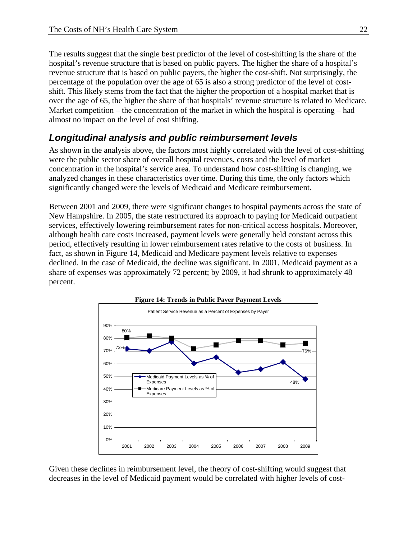The results suggest that the single best predictor of the level of cost-shifting is the share of the hospital's revenue structure that is based on public payers. The higher the share of a hospital's revenue structure that is based on public payers, the higher the cost-shift. Not surprisingly, the percentage of the population over the age of 65 is also a strong predictor of the level of costshift. This likely stems from the fact that the higher the proportion of a hospital market that is over the age of 65, the higher the share of that hospitals' revenue structure is related to Medicare. Market competition – the concentration of the market in which the hospital is operating – had almost no impact on the level of cost shifting.

## *Longitudinal analysis and public reimbursement levels*

As shown in the analysis above, the factors most highly correlated with the level of cost-shifting were the public sector share of overall hospital revenues, costs and the level of market concentration in the hospital's service area. To understand how cost-shifting is changing, we analyzed changes in these characteristics over time. During this time, the only factors which significantly changed were the levels of Medicaid and Medicare reimbursement.

Between 2001 and 2009, there were significant changes to hospital payments across the state of New Hampshire. In 2005, the state restructured its approach to paying for Medicaid outpatient services, effectively lowering reimbursement rates for non-critical access hospitals. Moreover, although health care costs increased, payment levels were generally held constant across this period, effectively resulting in lower reimbursement rates relative to the costs of business. In fact, as shown in Figure 14, Medicaid and Medicare payment levels relative to expenses declined. In the case of Medicaid, the decline was significant. In 2001, Medicaid payment as a share of expenses was approximately 72 percent; by 2009, it had shrunk to approximately 48 percent.



Given these declines in reimbursement level, the theory of cost-shifting would suggest that decreases in the level of Medicaid payment would be correlated with higher levels of cost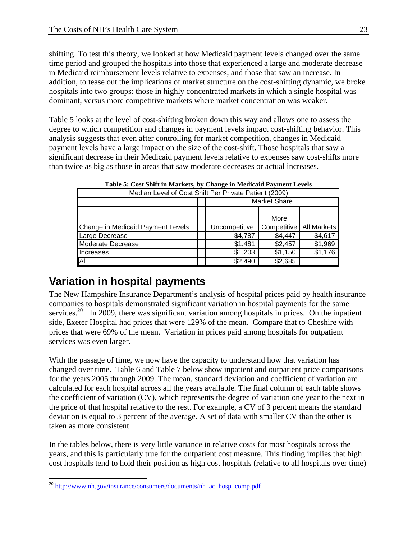shifting. To test this theory, we looked at how Medicaid payment levels changed over the same time period and grouped the hospitals into those that experienced a large and moderate decrease in Medicaid reimbursement levels relative to expenses, and those that saw an increase. In addition, to tease out the implications of market structure on the cost-shifting dynamic, we broke hospitals into two groups: those in highly concentrated markets in which a single hospital was dominant, versus more competitive markets where market concentration was weaker.

Table 5 looks at the level of cost-shifting broken down this way and allows one to assess the degree to which competition and changes in payment levels impact cost-shifting behavior. This analysis suggests that even after controlling for market competition, changes in Medicaid payment levels have a large impact on the size of the cost-shift. Those hospitals that saw a significant decrease in their Medicaid payment levels relative to expenses saw cost-shifts more than twice as big as those in areas that saw moderate decreases or actual increases.

| Median Level of Cost Shift Per Private Patient (2009) |      |                     |                           |         |  |
|-------------------------------------------------------|------|---------------------|---------------------------|---------|--|
|                                                       |      | <b>Market Share</b> |                           |         |  |
|                                                       |      |                     |                           |         |  |
|                                                       | More |                     |                           |         |  |
| Change in Medicaid Payment Levels                     |      | Uncompetitive       | Competitive   All Markets |         |  |
| Large Decrease                                        |      | \$4,787             | \$4,447                   | \$4,617 |  |
| Moderate Decrease                                     |      | \$1,481             | \$2,457                   | \$1,969 |  |
| Increases                                             |      | \$1,203             | \$1,150                   | \$1,176 |  |
| <b>All</b>                                            |      | \$2,490             | \$2,685                   |         |  |

**Table 5: Cost Shift in Markets, by Change in Medicaid Payment Levels** 

# **Variation in hospital payments**

The New Hampshire Insurance Department's analysis of hospital prices paid by health insurance companies to hospitals demonstrated significant variation in hospital payments for the same services.<sup>20</sup> In 2009, there was significant variation among hospitals in prices. On the inpatient side, Exeter Hospital had prices that were 129% of the mean. Compare that to Cheshire with prices that were 69% of the mean. Variation in prices paid among hospitals for outpatient services was even larger.

With the passage of time, we now have the capacity to understand how that variation has changed over time. Table 6 and Table 7 below show inpatient and outpatient price comparisons for the years 2005 through 2009. The mean, standard deviation and coefficient of variation are calculated for each hospital across all the years available. The final column of each table shows the coefficient of variation (CV), which represents the degree of variation one year to the next in the price of that hospital relative to the rest. For example, a CV of 3 percent means the standard deviation is equal to 3 percent of the average. A set of data with smaller CV than the other is taken as more consistent.

In the tables below, there is very little variance in relative costs for most hospitals across the years, and this is particularly true for the outpatient cost measure. This finding implies that high cost hospitals tend to hold their position as high cost hospitals (relative to all hospitals over time)

 $\overline{a}$  $^{20}$  http://www.nh.gov/insurance/consumers/documents/nh\_ac\_hosp\_comp.pdf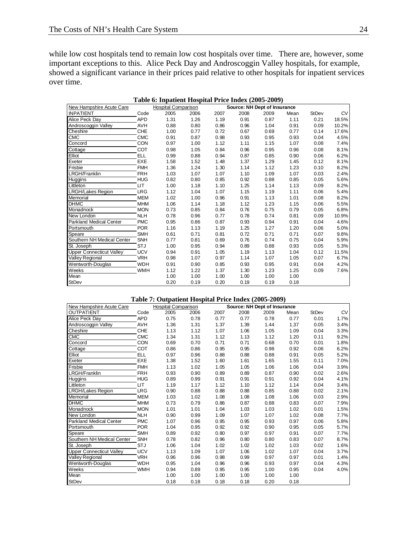while low cost hospitals tend to remain low cost hospitals over time. There are, however, some important exceptions to this. Alice Peck Day and Androscoggin Valley hospitals, for example, showed a significant variance in their prices paid relative to other hospitals for inpatient services over time.

| Table 6: Inpatient Hospital Price Index (2005-2009) |            |                            |      |      |                              |      |      |              |           |
|-----------------------------------------------------|------------|----------------------------|------|------|------------------------------|------|------|--------------|-----------|
| New Hampshire Acute Care                            |            | <b>Hospital Comparison</b> |      |      | Source: NH Dept of Insurance |      |      |              |           |
| <b>INPATIENT</b>                                    | Code       | 2005                       | 2006 | 2007 | 2008                         | 2009 | Mean | <b>StDev</b> | <b>CV</b> |
| Alice Peck Day                                      | <b>APD</b> | 1.31                       | 1.26 | 1.19 | 0.91                         | 0.87 | 1.11 | 0.21         | 18.5%     |
| Androscoggin Valley                                 | <b>AVH</b> | 0.88                       | 0.80 | 0.86 | 0.96                         | 1.04 | 0.91 | 0.09         | 10.2%     |
| Cheshire                                            | <b>CHE</b> | 1.00                       | 0.77 | 0.72 | 0.67                         | 0.69 | 0.77 | 0.14         | 17.6%     |
| CMC                                                 | <b>CMC</b> | 0.91                       | 0.87 | 0.98 | 0.93                         | 0.95 | 0.93 | 0.04         | 4.5%      |
| Concord                                             | <b>CON</b> | 0.97                       | 1.00 | 1.12 | 1.11                         | 1.15 | 1.07 | 0.08         | 7.4%      |
| Cottage                                             | <b>COT</b> | 0.98                       | 1.05 | 0.84 | 0.96                         | 0.95 | 0.96 | 0.08         | 8.1%      |
| Elliot                                              | <b>ELL</b> | 0.99                       | 0.88 | 0.94 | 0.87                         | 0.85 | 0.90 | 0.06         | 6.2%      |
| Exeter                                              | EXE        | 1.58                       | 1.52 | 1.48 | 1.37                         | 1.29 | 1.45 | 0.12         | 8.1%      |
| Frisbie                                             | <b>FMH</b> | 1.36                       | 1.24 | 1.30 | 1.14                         | 1.12 | 1.23 | 0.10         | 8.2%      |
| LRGH/Franklin                                       | <b>FRH</b> | 1.03                       | 1.07 | 1.07 | 1.10                         | 1.09 | 1.07 | 0.03         | 2.4%      |
| Huggins                                             | <b>HUG</b> | 0.82                       | 0.80 | 0.85 | 0.92                         | 0.88 | 0.85 | 0.05         | 5.6%      |
| Littleton                                           | <b>LIT</b> | 1.00                       | 1.18 | 1.10 | 1.25                         | 1.14 | 1.13 | 0.09         | 8.2%      |
| <b>LRGH/Lakes Region</b>                            | <b>LRG</b> | 1.12                       | 1.04 | 1.07 | 1.15                         | 1.19 | 1.11 | 0.06         | 5.4%      |
| Memorial                                            | <b>MEM</b> | 1.02                       | 1.00 | 0.96 | 0.91                         | 1.13 | 1.01 | 0.08         | 8.2%      |
| <b>DHMC</b>                                         | <b>MHM</b> | 1.06                       | 1.14 | 1.18 | 1.12                         | 1.23 | 1.15 | 0.06         | 5.5%      |
| Monadnock                                           | <b>MON</b> | 0.73                       | 0.85 | 0.84 | 0.76                         | 0.75 | 0.79 | 0.05         | 6.8%      |
| New London                                          | <b>NLH</b> | 0.78                       | 0.96 | 0.77 | 0.78                         | 0.74 | 0.81 | 0.09         | 10.9%     |
| <b>Parkland Medical Center</b>                      | <b>PMC</b> | 0.95                       | 0.86 | 0.87 | 0.93                         | 0.94 | 0.91 | 0.04         | 4.6%      |
| Portsmouth                                          | <b>POR</b> | 1.16                       | 1.13 | 1.19 | 1.25                         | 1.27 | 1.20 | 0.06         | 5.0%      |
| Speare                                              | <b>SMH</b> | 0.61                       | 0.71 | 0.81 | 0.72                         | 0.71 | 0.71 | 0.07         | 9.8%      |
| Southern NH Medical Center                          | <b>SNH</b> | 0.77                       | 0.81 | 0.69 | 0.76                         | 0.74 | 0.75 | 0.04         | 5.9%      |
| St. Joseph                                          | <b>STJ</b> | 1.00                       | 0.95 | 0.94 | 0.89                         | 0.88 | 0.93 | 0.05         | 5.3%      |
| <b>Upper Connecticut Valley</b>                     | <b>UCV</b> | 0.94                       | 0.91 | 1.05 | 1.19                         | 1.13 | 1.04 | 0.12         | 11.5%     |
| Valley Regional                                     | <b>VRH</b> | 0.98                       | 1.07 | 0.97 | 1.14                         | 1.07 | 1.05 | 0.07         | 6.7%      |
| Wentworth-Douglas                                   | <b>WDH</b> | 0.91                       | 0.90 | 0.85 | 0.93                         | 0.95 | 0.91 | 0.04         | 4.2%      |
| Weeks                                               | <b>WMH</b> | 1.12                       | 1.22 | 1.37 | 1.30                         | 1.23 | 1.25 | 0.09         | 7.6%      |
| Mean                                                |            | 1.00                       | 1.00 | 1.00 | 1.00                         | 1.00 | 1.00 |              |           |
| <b>StDev</b>                                        |            | 0.20                       | 0.19 | 0.20 | 0.19                         | 0.19 | 0.18 |              |           |

#### **Table 7: Outpatient Hospital Price Index (2005-2009)**

| New Hampshire Acute Care        |            | <b>Hospital Comparison</b> |      |      | Source: NH Dept of Insurance |      |      |       |           |
|---------------------------------|------------|----------------------------|------|------|------------------------------|------|------|-------|-----------|
| <b>OUTPATIENT</b>               | Code       | 2005                       | 2006 | 2007 | 2008                         | 2009 | Mean | StDev | <b>CV</b> |
| Alice Peck Day                  | <b>APD</b> | 0.75                       | 0.78 | 0.77 | 0.77                         | 0.78 | 0.77 | 0.01  | 1.7%      |
| Androscoggin Valley             | <b>AVH</b> | 1.36                       | 1.31 | 1.37 | 1.39                         | 1.44 | 1.37 | 0.05  | 3.4%      |
| Cheshire                        | <b>CHE</b> | 1.13                       | 1.12 | 1.07 | 1.06                         | 1.05 | 1.09 | 0.04  | 3.3%      |
| CMC                             | <b>CMC</b> | 1.34                       | 1.31 | 1.12 | 1.13                         | 1.12 | 1.20 | 0.11  | 9.2%      |
| Concord                         | <b>CON</b> | 0.69                       | 0.70 | 0.71 | 0.71                         | 0.68 | 0.70 | 0.01  | 1.8%      |
| Cottage                         | COT        | 0.86                       | 0.86 | 0.95 | 0.95                         | 0.98 | 0.92 | 0.06  | 6.2%      |
| Elliot                          | ELL        | 0.97                       | 0.96 | 0.88 | 0.88                         | 0.88 | 0.91 | 0.05  | 5.2%      |
| Exeter                          | EXE        | 1.38                       | 1.52 | 1.60 | 1.61                         | 1.65 | 1.55 | 0.11  | 7.0%      |
| Frisbie                         | <b>FMH</b> | 1.13                       | 1.02 | 1.05 | 1.05                         | 1.06 | 1.06 | 0.04  | 3.9%      |
| <b>LRGH/Franklin</b>            | <b>FRH</b> | 0.93                       | 0.90 | 0.89 | 0.89                         | 0.87 | 0.90 | 0.02  | 2.6%      |
| Huggins                         | <b>HUG</b> | 0.89                       | 0.99 | 0.91 | 0.91                         | 0.91 | 0.92 | 0.04  | 4.1%      |
| Littleton                       | <b>LIT</b> | 1.19                       | 1.17 | 1.12 | 1.10                         | 1.12 | 1.14 | 0.04  | 3.4%      |
| <b>LRGH/Lakes Region</b>        | <b>LRG</b> | 0.90                       | 0.88 | 0.88 | 0.88                         | 0.85 | 0.88 | 0.02  | 2.1%      |
| Memorial                        | <b>MEM</b> | 1.03                       | 1.02 | 1.08 | 1.08                         | 1.08 | 1.06 | 0.03  | 2.9%      |
| <b>DHMC</b>                     | <b>MHM</b> | 0.73                       | 0.79 | 0.86 | 0.87                         | 0.88 | 0.83 | 0.07  | 7.9%      |
| Monadnock                       | <b>MON</b> | 1.01                       | 1.01 | 1.04 | 1.03                         | 1.03 | 1.02 | 0.01  | 1.5%      |
| New London                      | <b>NLH</b> | 0.90                       | 0.99 | 1.09 | 1.07                         | 1.07 | 1.02 | 0.08  | 7.7%      |
| <b>Parkland Medical Center</b>  | <b>PMC</b> | 1.07                       | 0.96 | 0.95 | 0.95                         | 0.93 | 0.97 | 0.06  | 5.8%      |
| Portsmouth                      | <b>POR</b> | 1.04                       | 0.95 | 0.92 | 0.92                         | 0.90 | 0.95 | 0.05  | 5.7%      |
| Speare                          | <b>SMH</b> | 0.89                       | 0.92 | 0.80 | 0.97                         | 0.97 | 0.91 | 0.07  | 7.7%      |
| Southern NH Medical Center      | <b>SNH</b> | 0.78                       | 0.82 | 0.96 | 0.80                         | 0.80 | 0.83 | 0.07  | 8.7%      |
| St. Joseph                      | <b>STJ</b> | 1.06                       | 1.04 | 1.02 | 1.02                         | 1.02 | 1.03 | 0.02  | 1.6%      |
| <b>Upper Connecticut Valley</b> | <b>UCV</b> | 1.13                       | 1.09 | 1.07 | 1.06                         | 1.02 | 1.07 | 0.04  | 3.7%      |
| Valley Regional                 | <b>VRH</b> | 0.96                       | 0.96 | 0.98 | 0.99                         | 0.97 | 0.97 | 0.01  | 1.4%      |
| Wentworth-Douglas               | <b>WDH</b> | 0.95                       | 1.04 | 0.96 | 0.96                         | 0.93 | 0.97 | 0.04  | 4.3%      |
| Weeks                           | <b>WMH</b> | 0.94                       | 0.89 | 0.95 | 0.95                         | 1.00 | 0.95 | 0.04  | 4.0%      |
| Mean                            |            | 1.00                       | 1.00 | 1.00 | 1.00                         | 1.00 | 1.00 |       |           |
| <b>StDev</b>                    |            | 0.18                       | 0.18 | 0.18 | 0.18                         | 0.20 | 0.18 |       |           |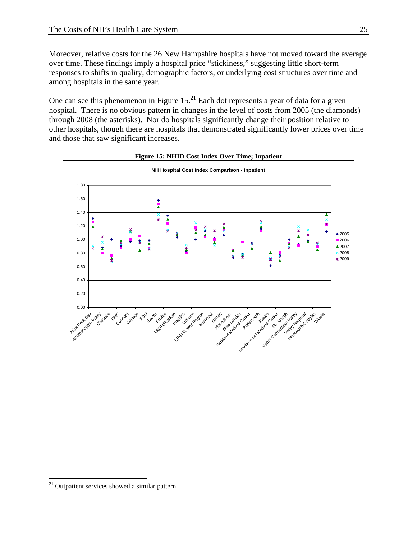Moreover, relative costs for the 26 New Hampshire hospitals have not moved toward the average over time. These findings imply a hospital price "stickiness," suggesting little short-term responses to shifts in quality, demographic factors, or underlying cost structures over time and among hospitals in the same year.

One can see this phenomenon in Figure  $15<sup>21</sup>$  Each dot represents a year of data for a given hospital. There is no obvious pattern in changes in the level of costs from 2005 (the diamonds) through 2008 (the asterisks). Nor do hospitals significantly change their position relative to other hospitals, though there are hospitals that demonstrated significantly lower prices over time and those that saw significant increases.





 $\overline{a}$ <sup>21</sup> Outpatient services showed a similar pattern.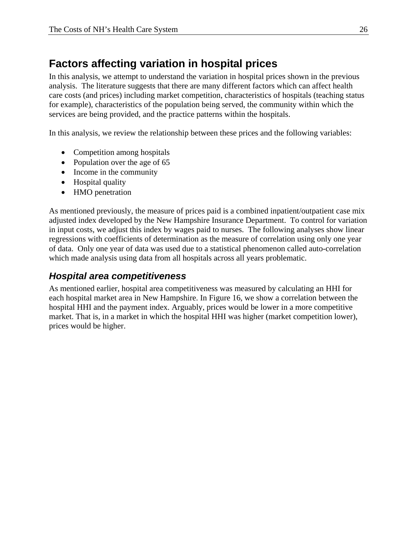# **Factors affecting variation in hospital prices**

In this analysis, we attempt to understand the variation in hospital prices shown in the previous analysis. The literature suggests that there are many different factors which can affect health care costs (and prices) including market competition, characteristics of hospitals (teaching status for example), characteristics of the population being served, the community within which the services are being provided, and the practice patterns within the hospitals.

In this analysis, we review the relationship between these prices and the following variables:

- Competition among hospitals
- Population over the age of 65
- Income in the community
- Hospital quality
- HMO penetration

As mentioned previously, the measure of prices paid is a combined inpatient/outpatient case mix adjusted index developed by the New Hampshire Insurance Department. To control for variation in input costs, we adjust this index by wages paid to nurses. The following analyses show linear regressions with coefficients of determination as the measure of correlation using only one year of data. Only one year of data was used due to a statistical phenomenon called auto-correlation which made analysis using data from all hospitals across all years problematic.

## *Hospital area competitiveness*

As mentioned earlier, hospital area competitiveness was measured by calculating an HHI for each hospital market area in New Hampshire. In Figure 16, we show a correlation between the hospital HHI and the payment index. Arguably, prices would be lower in a more competitive market. That is, in a market in which the hospital HHI was higher (market competition lower), prices would be higher.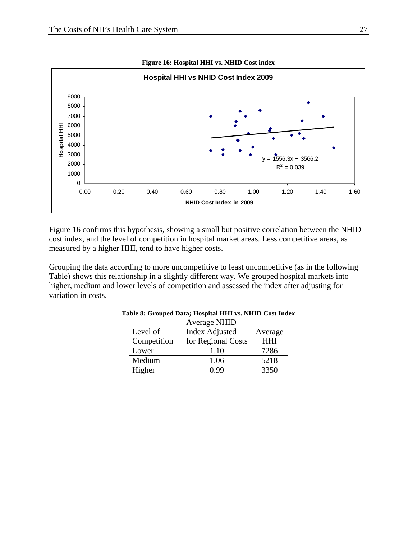

Figure 16 confirms this hypothesis, showing a small but positive correlation between the NHID cost index, and the level of competition in hospital market areas. Less competitive areas, as measured by a higher HHI, tend to have higher costs.

Grouping the data according to more uncompetitive to least uncompetitive (as in the following Table) shows this relationship in a slightly different way. We grouped hospital markets into higher, medium and lower levels of competition and assessed the index after adjusting for variation in costs.

|             | <b>Average NHID</b>   |            |
|-------------|-----------------------|------------|
| Level of    | <b>Index Adjusted</b> | Average    |
| Competition | for Regional Costs    | <b>HHI</b> |
| Lower       | 1.10                  | 7286       |
| Medium      | 1.06                  | 5218       |
| Higher      | -QQ                   | 3350       |

**Table 8: Grouped Data; Hospital HHI vs. NHID Cost Index**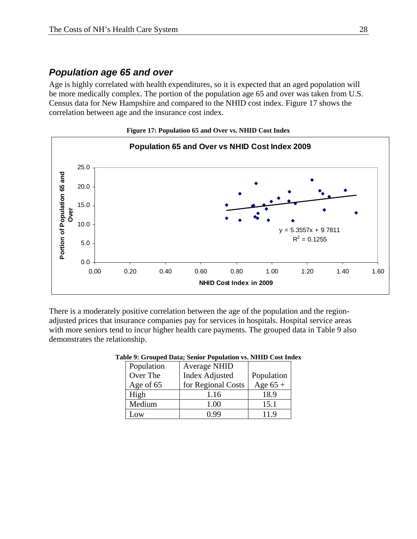### *Population age 65 and over*

Age is highly correlated with health expenditures, so it is expected that an aged population will be more medically complex. The portion of the population age 65 and over was taken from U.S. Census data for New Hampshire and compared to the NHID cost index. Figure 17 shows the correlation between age and the insurance cost index.



**Figure 17: Population 65 and Over vs. NHID Cost Index** 

There is a moderately positive correlation between the age of the population and the regionadjusted prices that insurance companies pay for services in hospitals. Hospital service areas with more seniors tend to incur higher health care payments. The grouped data in Table 9 also demonstrates the relationship.

| Population | <b>Average NHID</b>   |            |
|------------|-----------------------|------------|
| Over The   | <b>Index Adjusted</b> | Population |
| Age of 65  | for Regional Costs    | Age $65 +$ |
| High       | 1.16                  | 18.9       |
| Medium     | 1.00                  | 15.1       |
| Low        | ) 99                  | 11.9       |

#### **Table 9: Grouped Data; Senior Population vs. NHID Cost Index**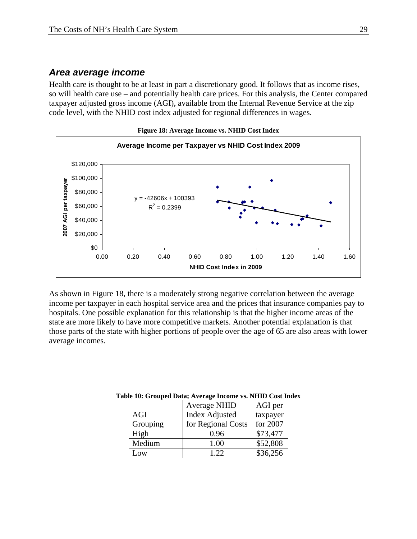### *Area average income*

Health care is thought to be at least in part a discretionary good. It follows that as income rises, so will health care use – and potentially health care prices. For this analysis, the Center compared taxpayer adjusted gross income (AGI), available from the Internal Revenue Service at the zip code level, with the NHID cost index adjusted for regional differences in wages.



As shown in Figure 18, there is a moderately strong negative correlation between the average income per taxpayer in each hospital service area and the prices that insurance companies pay to hospitals. One possible explanation for this relationship is that the higher income areas of the state are more likely to have more competitive markets. Another potential explanation is that those parts of the state with higher portions of people over the age of 65 are also areas with lower average incomes.

| ле то: Grouped Data, Average meome vs. гани Cost me |                       |          |  |  |  |
|-----------------------------------------------------|-----------------------|----------|--|--|--|
|                                                     | <b>Average NHID</b>   | AGI per  |  |  |  |
| AGI                                                 | <b>Index Adjusted</b> | taxpayer |  |  |  |
| Grouping                                            | for Regional Costs    | for 2007 |  |  |  |
| High                                                | 0.96                  | \$73,477 |  |  |  |
| Medium                                              | 1.00                  | \$52,808 |  |  |  |
| Low                                                 | 1.22.                 | \$36,256 |  |  |  |

#### **Table 10: Grouped Data; Average Income vs. NHID Cost Index**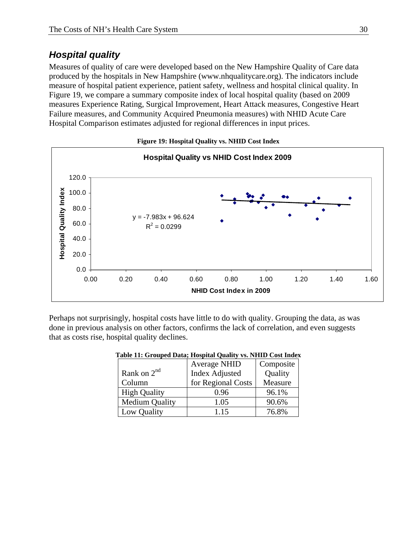## *Hospital quality*

Measures of quality of care were developed based on the New Hampshire Quality of Care data produced by the hospitals in New Hampshire (www.nhqualitycare.org). The indicators include measure of hospital patient experience, patient safety, wellness and hospital clinical quality. In Figure 19, we compare a summary composite index of local hospital quality (based on 2009 measures Experience Rating, Surgical Improvement, Heart Attack measures, Congestive Heart Failure measures, and Community Acquired Pneumonia measures) with NHID Acute Care Hospital Comparison estimates adjusted for regional differences in input prices.



**Figure 19: Hospital Quality vs. NHID Cost Index** 

Perhaps not surprisingly, hospital costs have little to do with quality. Grouping the data, as was done in previous analysis on other factors, confirms the lack of correlation, and even suggests that as costs rise, hospital quality declines.

| able 11: Grouped Data; Hospital Quality vs. NHID Cost Index |                       |           |  |  |  |
|-------------------------------------------------------------|-----------------------|-----------|--|--|--|
|                                                             | <b>Average NHID</b>   | Composite |  |  |  |
| Rank on $2nd$                                               | <b>Index Adjusted</b> | Quality   |  |  |  |
| Column                                                      | for Regional Costs    | Measure   |  |  |  |
| <b>High Quality</b>                                         | 0.96                  | 96.1%     |  |  |  |
| <b>Medium Quality</b>                                       | 1.05                  | 90.6%     |  |  |  |
| Low Quality                                                 | 1.15                  | 76.8%     |  |  |  |

#### **Table 11: Grouped Data; Hospital Quality vs. NHID Cost Index**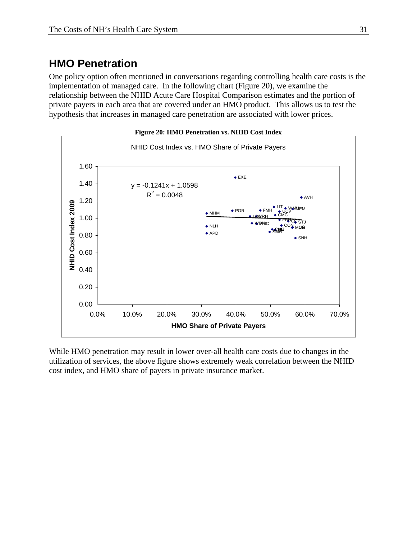# **HMO Penetration**

One policy option often mentioned in conversations regarding controlling health care costs is the implementation of managed care. In the following chart (Figure 20), we examine the relationship between the NHID Acute Care Hospital Comparison estimates and the portion of private payers in each area that are covered under an HMO product. This allows us to test the hypothesis that increases in managed care penetration are associated with lower prices.



While HMO penetration may result in lower over-all health care costs due to changes in the utilization of services, the above figure shows extremely weak correlation between the NHID cost index, and HMO share of payers in private insurance market.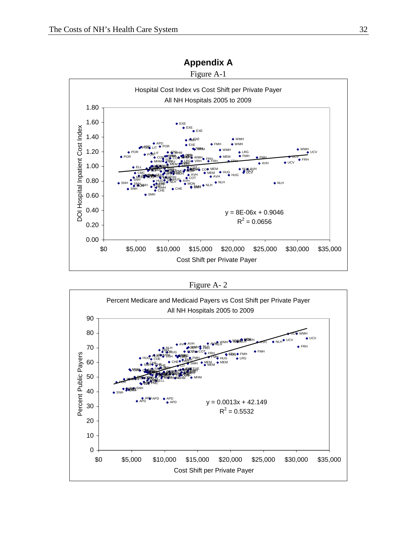

### **Appendix A**

Figure A- 2

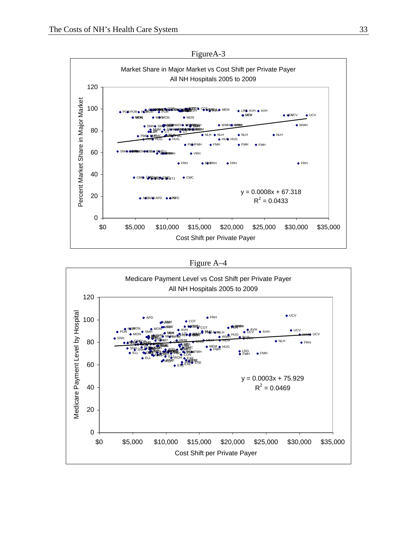

FigureA-3



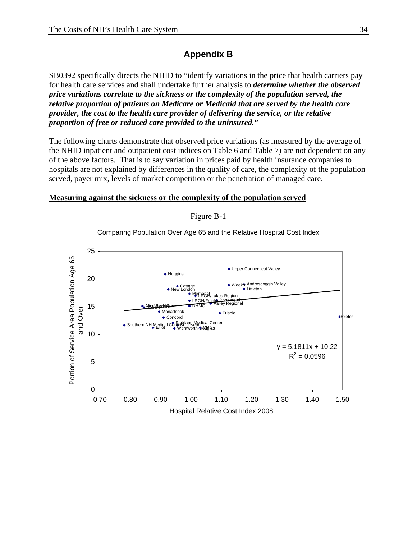## **Appendix B**

SB0392 specifically directs the NHID to "identify variations in the price that health carriers pay for health care services and shall undertake further analysis to *determine whether the observed price variations correlate to the sickness or the complexity of the population served, the relative proportion of patients on Medicare or Medicaid that are served by the health care provider, the cost to the health care provider of delivering the service, or the relative proportion of free or reduced care provided to the uninsured."*

The following charts demonstrate that observed price variations (as measured by the average of the NHID inpatient and outpatient cost indices on Table 6 and Table 7) are not dependent on any of the above factors. That is to say variation in prices paid by health insurance companies to hospitals are not explained by differences in the quality of care, the complexity of the population served, payer mix, levels of market competition or the penetration of managed care.



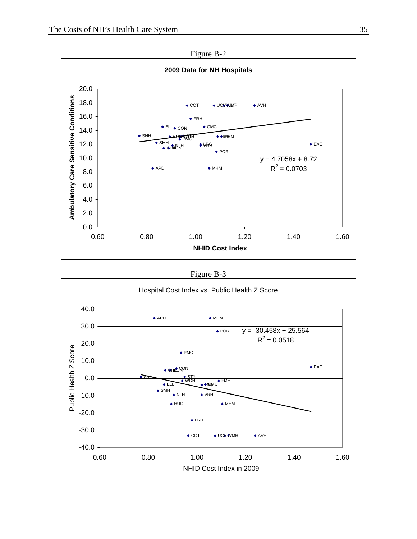

Figure B-3



Figure B-2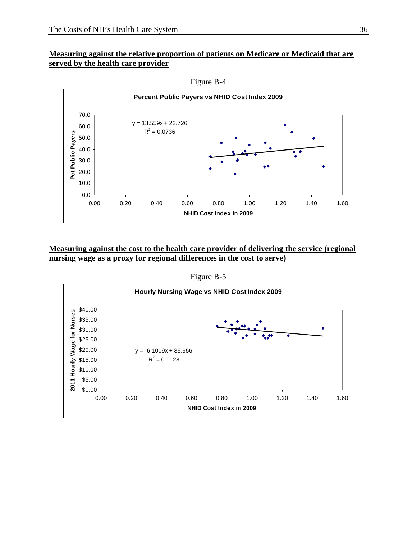#### **Measuring against the relative proportion of patients on Medicare or Medicaid that are served by the health care provider**



Figure B-4

#### **Measuring against the cost to the health care provider of delivering the service (regional nursing wage as a proxy for regional differences in the cost to serve)**

Figure B-5

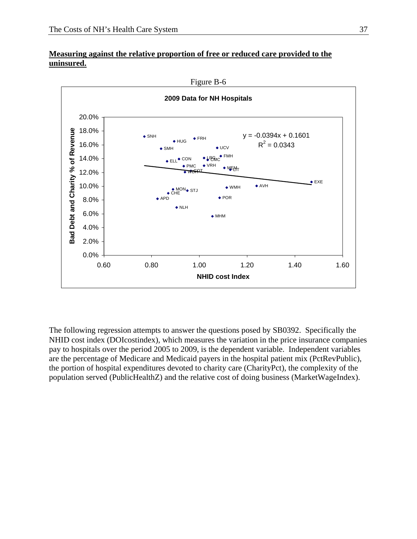



The following regression attempts to answer the questions posed by SB0392. Specifically the NHID cost index (DOIcostindex), which measures the variation in the price insurance companies pay to hospitals over the period 2005 to 2009, is the dependent variable. Independent variables are the percentage of Medicare and Medicaid payers in the hospital patient mix (PctRevPublic), the portion of hospital expenditures devoted to charity care (CharityPct), the complexity of the population served (PublicHealthZ) and the relative cost of doing business (MarketWageIndex).